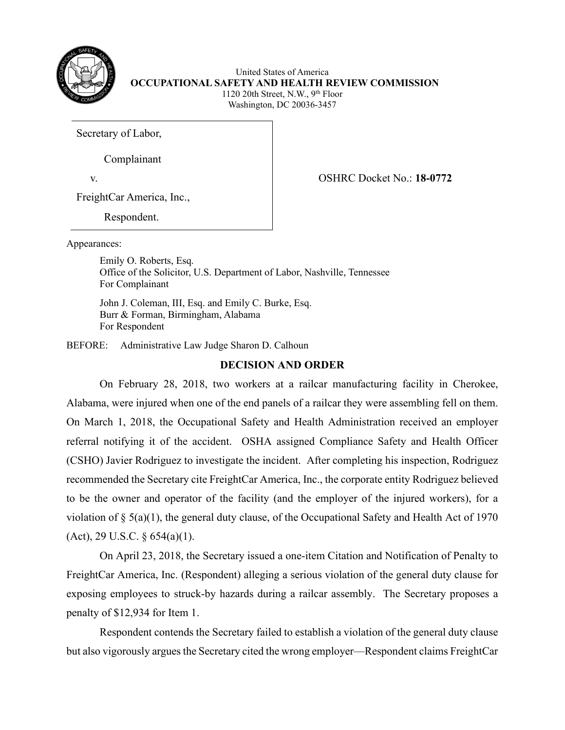

United States of America **OCCUPATIONAL SAFETY AND HEALTH REVIEW COMMISSION** 1120 20th Street, N.W., 9th Floor Washington, DC 20036-3457

Secretary of Labor,

Complainant

v. OSHRC Docket No.: **18-0772**

FreightCar America, Inc.,

Respondent.

Appearances:

 Emily O. Roberts, Esq. Office of the Solicitor, U.S. Department of Labor, Nashville, Tennessee For Complainant

 John J. Coleman, III, Esq. and Emily C. Burke, Esq. Burr & Forman, Birmingham, Alabama For Respondent

BEFORE: Administrative Law Judge Sharon D. Calhoun

# **DECISION AND ORDER**

On February 28, 2018, two workers at a railcar manufacturing facility in Cherokee, Alabama, were injured when one of the end panels of a railcar they were assembling fell on them. On March 1, 2018, the Occupational Safety and Health Administration received an employer referral notifying it of the accident. OSHA assigned Compliance Safety and Health Officer (CSHO) Javier Rodriguez to investigate the incident. After completing his inspection, Rodriguez recommended the Secretary cite FreightCar America, Inc., the corporate entity Rodriguez believed to be the owner and operator of the facility (and the employer of the injured workers), for a violation of  $\S$  5(a)(1), the general duty clause, of the Occupational Safety and Health Act of 1970 (Act), 29 U.S.C. § 654(a)(1).

 On April 23, 2018, the Secretary issued a one-item Citation and Notification of Penalty to FreightCar America, Inc. (Respondent) alleging a serious violation of the general duty clause for exposing employees to struck-by hazards during a railcar assembly. The Secretary proposes a penalty of \$12,934 for Item 1.

Respondent contends the Secretary failed to establish a violation of the general duty clause but also vigorously argues the Secretary cited the wrong employer—Respondent claims FreightCar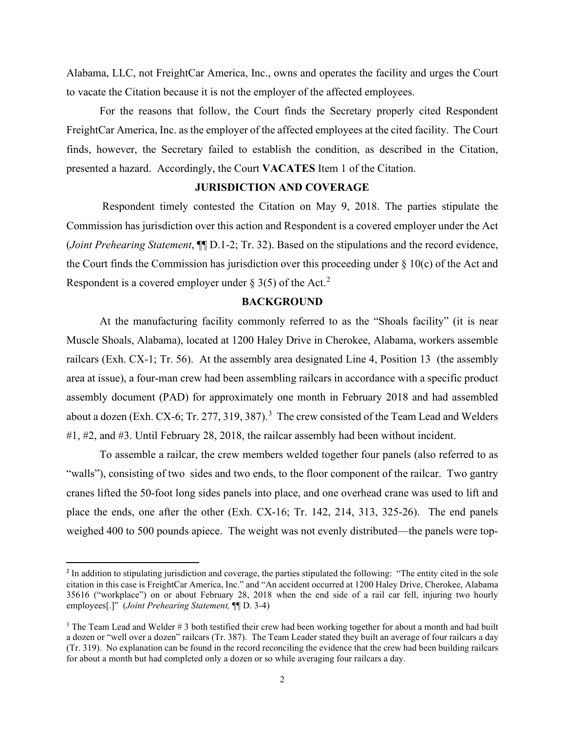Alabama, LLC, not FreightCar America, Inc., owns and operates the facility and urges the Court to vacate the Citation because it is not the employer of the affected employees.

For the reasons that follow, the Court finds the Secretary properly cited Respondent FreightCar America, Inc. as the employer of the affected employees at the cited facility. The Court finds, however, the Secretary failed to establish the condition, as described in the Citation, presented a hazard. Accordingly, the Court **VACATES** Item 1 of the Citation.

### **JURISDICTION AND COVERAGE**

 Respondent timely contested the Citation on May 9, 2018. The parties stipulate the Commission has jurisdiction over this action and Respondent is a covered employer under the Act (*Joint Prehearing Statement*, ¶¶ D.1-2; Tr. 32). Based on the stipulations and the record evidence, the Court finds the Commission has jurisdiction over this proceeding under  $\S$  10(c) of the Act and Respondent is a covered employer under  $\S 3(5)$  of the Act.<sup>[2](#page-1-0)</sup>

### **BACKGROUND**

At the manufacturing facility commonly referred to as the "Shoals facility" (it is near Muscle Shoals, Alabama), located at 1200 Haley Drive in Cherokee, Alabama, workers assemble railcars (Exh. CX-1; Tr. 56). At the assembly area designated Line 4, Position 13 (the assembly area at issue), a four-man crew had been assembling railcars in accordance with a specific product assembly document (PAD) for approximately one month in February 2018 and had assembled about a dozen (Exh. CX-6; Tr. 277, [3](#page-1-1)19, 387).<sup>3</sup> The crew consisted of the Team Lead and Welders #1, #2, and #3. Until February 28, 2018, the railcar assembly had been without incident.

To assemble a railcar, the crew members welded together four panels (also referred to as "walls"), consisting of two sides and two ends, to the floor component of the railcar. Two gantry cranes lifted the 50-foot long sides panels into place, and one overhead crane was used to lift and place the ends, one after the other (Exh. CX-16; Tr. 142, 214, 313, 325-26). The end panels weighed 400 to 500 pounds apiece. The weight was not evenly distributed—the panels were top-

<span id="page-1-0"></span><sup>&</sup>lt;sup>2</sup> In addition to stipulating jurisdiction and coverage, the parties stipulated the following: "The entity cited in the sole citation in this case is FreightCar America, Inc." and "An accident occurred at 1200 Haley Drive, Cherokee, Alabama 35616 ("workplace") on or about February 28, 2018 when the end side of a rail car fell, injuring two hourly employees[.]" (*Joint Prehearing Statement,* ¶¶ D. 3-4)

<span id="page-1-1"></span> $3$  The Team Lead and Welder  $\# 3$  both testified their crew had been working together for about a month and had built a dozen or "well over a dozen" railcars (Tr. 387). The Team Leader stated they built an average of four railcars a day (Tr. 319). No explanation can be found in the record reconciling the evidence that the crew had been building railcars for about a month but had completed only a dozen or so while averaging four railcars a day.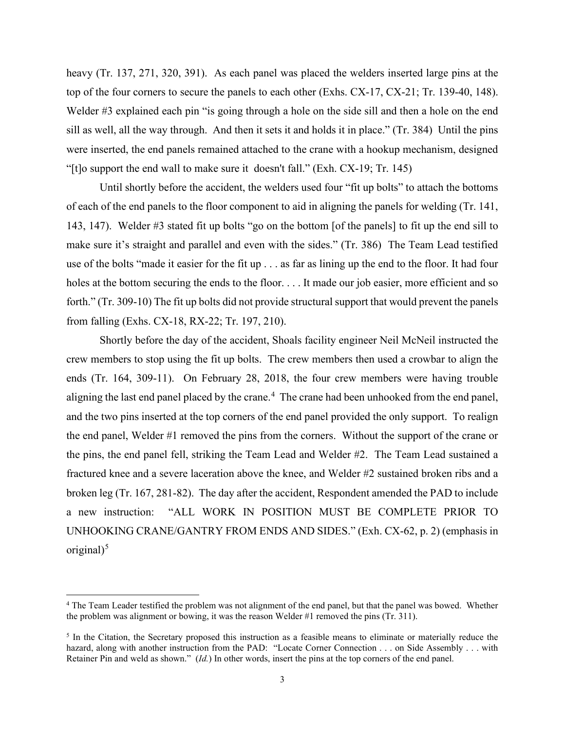heavy (Tr. 137, 271, 320, 391). As each panel was placed the welders inserted large pins at the top of the four corners to secure the panels to each other (Exhs. CX-17, CX-21; Tr. 139-40, 148). Welder #3 explained each pin "is going through a hole on the side sill and then a hole on the end sill as well, all the way through. And then it sets it and holds it in place." (Tr. 384) Until the pins were inserted, the end panels remained attached to the crane with a hookup mechanism, designed "[t]o support the end wall to make sure it doesn't fall." (Exh. CX-19; Tr. 145)

Until shortly before the accident, the welders used four "fit up bolts" to attach the bottoms of each of the end panels to the floor component to aid in aligning the panels for welding (Tr. 141, 143, 147). Welder #3 stated fit up bolts "go on the bottom [of the panels] to fit up the end sill to make sure it's straight and parallel and even with the sides." (Tr. 386) The Team Lead testified use of the bolts "made it easier for the fit up . . . as far as lining up the end to the floor. It had four holes at the bottom securing the ends to the floor. . . . It made our job easier, more efficient and so forth." (Tr. 309-10) The fit up bolts did not provide structural support that would prevent the panels from falling (Exhs. CX-18, RX-22; Tr. 197, 210).

Shortly before the day of the accident, Shoals facility engineer Neil McNeil instructed the crew members to stop using the fit up bolts. The crew members then used a crowbar to align the ends (Tr. 164, 309-11). On February 28, 2018, the four crew members were having trouble aligning the last end panel placed by the crane.<sup>[4](#page-2-0)</sup> The crane had been unhooked from the end panel, and the two pins inserted at the top corners of the end panel provided the only support. To realign the end panel, Welder #1 removed the pins from the corners. Without the support of the crane or the pins, the end panel fell, striking the Team Lead and Welder #2. The Team Lead sustained a fractured knee and a severe laceration above the knee, and Welder #2 sustained broken ribs and a broken leg (Tr. 167, 281-82). The day after the accident, Respondent amended the PAD to include a new instruction: "ALL WORK IN POSITION MUST BE COMPLETE PRIOR TO UNHOOKING CRANE/GANTRY FROM ENDS AND SIDES." (Exh. CX-62, p. 2) (emphasis in original $)^5$  $)^5$ 

<span id="page-2-0"></span><sup>4</sup> The Team Leader testified the problem was not alignment of the end panel, but that the panel was bowed. Whether the problem was alignment or bowing, it was the reason Welder #1 removed the pins (Tr. 311).

<span id="page-2-1"></span><sup>&</sup>lt;sup>5</sup> In the Citation, the Secretary proposed this instruction as a feasible means to eliminate or materially reduce the hazard, along with another instruction from the PAD: "Locate Corner Connection . . . on Side Assembly . . . with Retainer Pin and weld as shown." (*Id.*) In other words, insert the pins at the top corners of the end panel.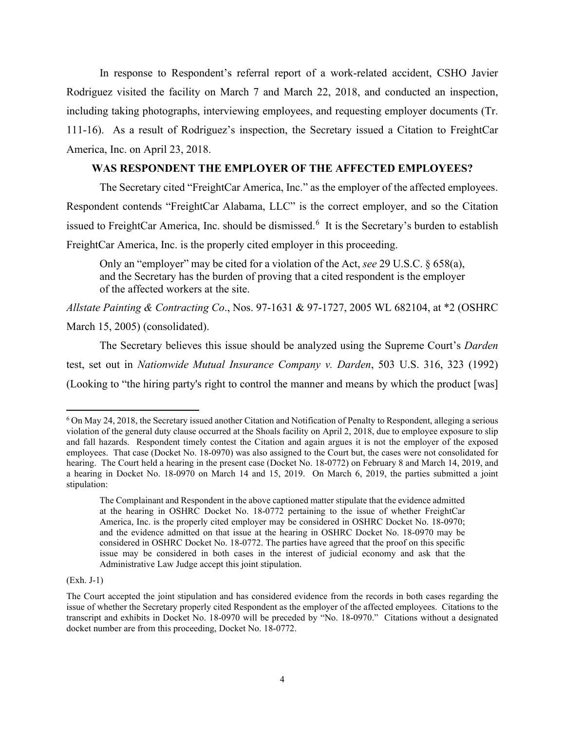In response to Respondent's referral report of a work-related accident, CSHO Javier Rodriguez visited the facility on March 7 and March 22, 2018, and conducted an inspection, including taking photographs, interviewing employees, and requesting employer documents (Tr. 111-16). As a result of Rodriguez's inspection, the Secretary issued a Citation to FreightCar America, Inc. on April 23, 2018.

## **WAS RESPONDENT THE EMPLOYER OF THE AFFECTED EMPLOYEES?**

The Secretary cited "FreightCar America, Inc." as the employer of the affected employees. Respondent contends "FreightCar Alabama, LLC" is the correct employer, and so the Citation issued to FreightCar America, Inc. should be dismissed.<sup>[6](#page-3-0)</sup> It is the Secretary's burden to establish FreightCar America, Inc. is the properly cited employer in this proceeding.

Only an "employer" may be cited for a violation of the Act, *see* 29 U.S.C. § 658(a), and the Secretary has the burden of proving that a cited respondent is the employer of the affected workers at the site.

*Allstate Painting & Contracting Co*., Nos. 97-1631 & 97-1727, 2005 WL 682104, at \*2 (OSHRC March 15, 2005) (consolidated).

The Secretary believes this issue should be analyzed using the Supreme Court's *Darden* test, set out in *Nationwide Mutual Insurance Company v. Darden*, 503 U.S. 316, 323 (1992) (Looking to "the hiring party's right to control the manner and means by which the product [was]

(Exh. J-1)

<span id="page-3-0"></span><sup>&</sup>lt;sup>6</sup> On May 24, 2018, the Secretary issued another Citation and Notification of Penalty to Respondent, alleging a serious violation of the general duty clause occurred at the Shoals facility on April 2, 2018, due to employee exposure to slip and fall hazards. Respondent timely contest the Citation and again argues it is not the employer of the exposed employees. That case (Docket No. 18-0970) was also assigned to the Court but, the cases were not consolidated for hearing. The Court held a hearing in the present case (Docket No. 18-0772) on February 8 and March 14, 2019, and a hearing in Docket No. 18-0970 on March 14 and 15, 2019. On March 6, 2019, the parties submitted a joint stipulation:

The Complainant and Respondent in the above captioned matter stipulate that the evidence admitted at the hearing in OSHRC Docket No. 18-0772 pertaining to the issue of whether FreightCar America, Inc. is the properly cited employer may be considered in OSHRC Docket No. 18-0970; and the evidence admitted on that issue at the hearing in OSHRC Docket No. 18-0970 may be considered in OSHRC Docket No. 18-0772. The parties have agreed that the proof on this specific issue may be considered in both cases in the interest of judicial economy and ask that the Administrative Law Judge accept this joint stipulation.

The Court accepted the joint stipulation and has considered evidence from the records in both cases regarding the issue of whether the Secretary properly cited Respondent as the employer of the affected employees. Citations to the transcript and exhibits in Docket No. 18-0970 will be preceded by "No. 18-0970." Citations without a designated docket number are from this proceeding, Docket No. 18-0772.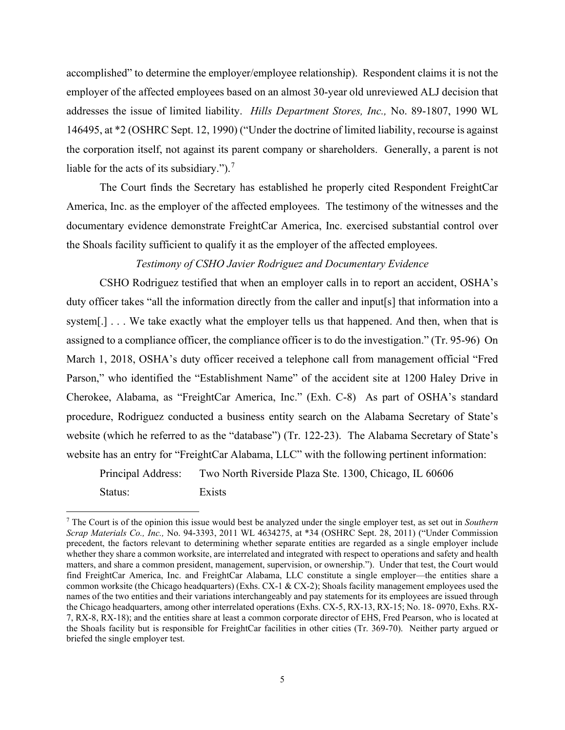accomplished" to determine the employer/employee relationship). Respondent claims it is not the employer of the affected employees based on an almost 30-year old unreviewed ALJ decision that addresses the issue of limited liability. *Hills Department Stores, Inc.,* No. 89-1807, 1990 WL 146495, at \*2 (OSHRC Sept. 12, 1990) ("Under the doctrine of limited liability, recourse is against the corporation itself, not against its parent company or shareholders. Generally, a parent is not liable for the acts of its subsidiary.").<sup>[7](#page-4-0)</sup>

The Court finds the Secretary has established he properly cited Respondent FreightCar America, Inc. as the employer of the affected employees. The testimony of the witnesses and the documentary evidence demonstrate FreightCar America, Inc. exercised substantial control over the Shoals facility sufficient to qualify it as the employer of the affected employees.

# *Testimony of CSHO Javier Rodriguez and Documentary Evidence*

CSHO Rodriguez testified that when an employer calls in to report an accident, OSHA's duty officer takes "all the information directly from the caller and input[s] that information into a system[.] . . . We take exactly what the employer tells us that happened. And then, when that is assigned to a compliance officer, the compliance officer is to do the investigation." (Tr. 95-96) On March 1, 2018, OSHA's duty officer received a telephone call from management official "Fred Parson," who identified the "Establishment Name" of the accident site at 1200 Haley Drive in Cherokee, Alabama, as "FreightCar America, Inc." (Exh. C-8) As part of OSHA's standard procedure, Rodriguez conducted a business entity search on the Alabama Secretary of State's website (which he referred to as the "database") (Tr. 122-23). The Alabama Secretary of State's website has an entry for "FreightCar Alabama, LLC" with the following pertinent information:

 Principal Address: Two North Riverside Plaza Ste. 1300, Chicago, IL 60606 Status: Exists

<span id="page-4-0"></span><sup>7</sup> The Court is of the opinion this issue would best be analyzed under the single employer test, as set out in *Southern Scrap Materials Co., Inc.,* No. 94-3393, 2011 WL 4634275, at \*34 (OSHRC Sept. 28, 2011) ("Under Commission precedent, the factors relevant to determining whether separate entities are regarded as a single employer include whether they share a common worksite, are interrelated and integrated with respect to operations and safety and health matters, and share a common president, management, supervision, or ownership."). Under that test, the Court would find FreightCar America, Inc. and FreightCar Alabama, LLC constitute a single employer—the entities share a common worksite (the Chicago headquarters) (Exhs. CX-1  $\&$  CX-2); Shoals facility management employees used the names of the two entities and their variations interchangeably and pay statements for its employees are issued through the Chicago headquarters, among other interrelated operations (Exhs. CX-5, RX-13, RX-15; No. 18- 0970, Exhs. RX-7, RX-8, RX-18); and the entities share at least a common corporate director of EHS, Fred Pearson, who is located at the Shoals facility but is responsible for FreightCar facilities in other cities (Tr. 369-70). Neither party argued or briefed the single employer test.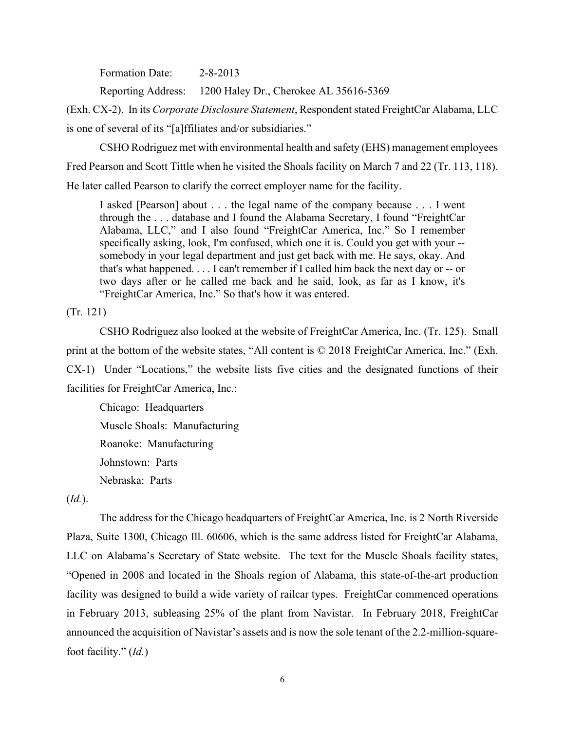Formation Date: 2-8-2013

Reporting Address: 1200 Haley Dr., Cherokee AL 35616-5369

(Exh. CX-2). In its *Corporate Disclosure Statement*, Respondent stated FreightCar Alabama, LLC is one of several of its "[a]ffiliates and/or subsidiaries."

 CSHO Rodriguez met with environmental health and safety (EHS) management employees Fred Pearson and Scott Tittle when he visited the Shoals facility on March 7 and 22 (Tr. 113, 118). He later called Pearson to clarify the correct employer name for the facility.

I asked [Pearson] about . . . the legal name of the company because . . . I went through the . . . database and I found the Alabama Secretary, I found "FreightCar Alabama, LLC," and I also found "FreightCar America, Inc." So I remember specifically asking, look, I'm confused, which one it is. Could you get with your - somebody in your legal department and just get back with me. He says, okay. And that's what happened. . . . I can't remember if I called him back the next day or -- or two days after or he called me back and he said, look, as far as I know, it's "FreightCar America, Inc." So that's how it was entered.

(Tr. 121)

 CSHO Rodriguez also looked at the website of FreightCar America, Inc. (Tr. 125). Small print at the bottom of the website states, "All content is © 2018 FreightCar America, Inc." (Exh. CX-1) Under "Locations," the website lists five cities and the designated functions of their facilities for FreightCar America, Inc.:

Chicago: Headquarters Muscle Shoals: Manufacturing Roanoke: Manufacturing Johnstown: Parts Nebraska: Parts

(*Id.*).

The address for the Chicago headquarters of FreightCar America, Inc. is 2 North Riverside Plaza, Suite 1300, Chicago Ill. 60606, which is the same address listed for FreightCar Alabama, LLC on Alabama's Secretary of State website. The text for the Muscle Shoals facility states, "Opened in 2008 and located in the Shoals region of Alabama, this state-of-the-art production facility was designed to build a wide variety of railcar types. FreightCar commenced operations in February 2013, subleasing 25% of the plant from Navistar. In February 2018, FreightCar announced the acquisition of Navistar's assets and is now the sole tenant of the 2.2-million-squarefoot facility." (*Id.*)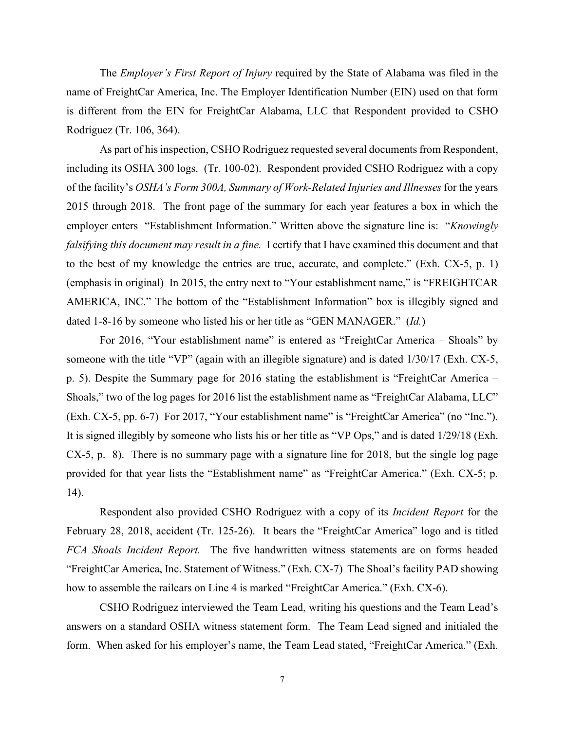The *Employer's First Report of Injury* required by the State of Alabama was filed in the name of FreightCar America, Inc. The Employer Identification Number (EIN) used on that form is different from the EIN for FreightCar Alabama, LLC that Respondent provided to CSHO Rodriguez (Tr. 106, 364).

As part of his inspection, CSHO Rodriguez requested several documents from Respondent, including its OSHA 300 logs. (Tr. 100-02). Respondent provided CSHO Rodriguez with a copy of the facility's *OSHA's Form 300A, Summary of Work-Related Injuries and Illnesses* for the years 2015 through 2018. The front page of the summary for each year features a box in which the employer enters "Establishment Information." Written above the signature line is: "*Knowingly falsifying this document may result in a fine.* I certify that I have examined this document and that to the best of my knowledge the entries are true, accurate, and complete." (Exh. CX-5, p. 1) (emphasis in original) In 2015, the entry next to "Your establishment name," is "FREIGHTCAR AMERICA, INC." The bottom of the "Establishment Information" box is illegibly signed and dated 1-8-16 by someone who listed his or her title as "GEN MANAGER." (*Id.*)

For 2016, "Your establishment name" is entered as "FreightCar America – Shoals" by someone with the title "VP" (again with an illegible signature) and is dated 1/30/17 (Exh. CX-5, p. 5). Despite the Summary page for 2016 stating the establishment is "FreightCar America – Shoals," two of the log pages for 2016 list the establishment name as "FreightCar Alabama, LLC" (Exh. CX-5, pp. 6-7) For 2017, "Your establishment name" is "FreightCar America" (no "Inc."). It is signed illegibly by someone who lists his or her title as "VP Ops," and is dated 1/29/18 (Exh. CX-5, p. 8). There is no summary page with a signature line for 2018, but the single log page provided for that year lists the "Establishment name" as "FreightCar America." (Exh. CX-5; p. 14).

 Respondent also provided CSHO Rodriguez with a copy of its *Incident Report* for the February 28, 2018, accident (Tr. 125-26). It bears the "FreightCar America" logo and is titled *FCA Shoals Incident Report.* The five handwritten witness statements are on forms headed "FreightCar America, Inc. Statement of Witness." (Exh. CX-7) The Shoal's facility PAD showing how to assemble the railcars on Line 4 is marked "FreightCar America." (Exh. CX-6).

CSHO Rodriguez interviewed the Team Lead, writing his questions and the Team Lead's answers on a standard OSHA witness statement form. The Team Lead signed and initialed the form. When asked for his employer's name, the Team Lead stated, "FreightCar America." (Exh.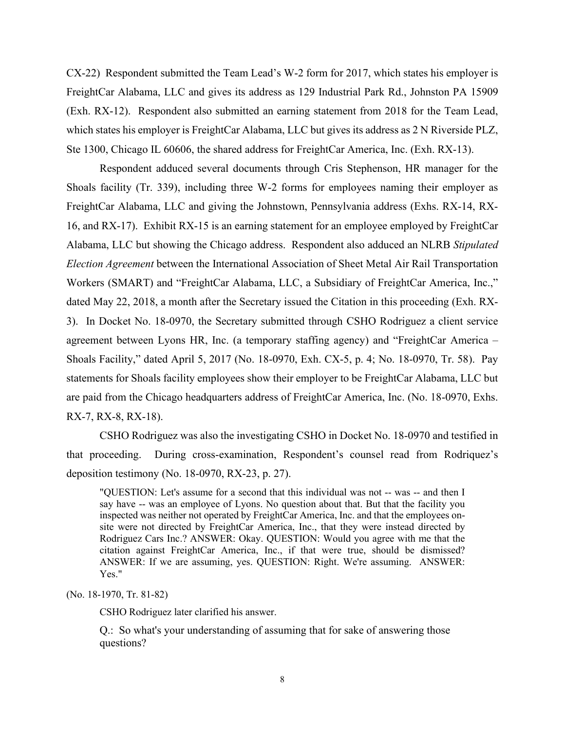CX-22) Respondent submitted the Team Lead's W-2 form for 2017, which states his employer is FreightCar Alabama, LLC and gives its address as 129 Industrial Park Rd., Johnston PA 15909 (Exh. RX-12). Respondent also submitted an earning statement from 2018 for the Team Lead, which states his employer is FreightCar Alabama, LLC but gives its address as 2 N Riverside PLZ, Ste 1300, Chicago IL 60606, the shared address for FreightCar America, Inc. (Exh. RX-13).

 Respondent adduced several documents through Cris Stephenson, HR manager for the Shoals facility (Tr. 339), including three W-2 forms for employees naming their employer as FreightCar Alabama, LLC and giving the Johnstown, Pennsylvania address (Exhs. RX-14, RX-16, and RX-17). Exhibit RX-15 is an earning statement for an employee employed by FreightCar Alabama, LLC but showing the Chicago address. Respondent also adduced an NLRB *Stipulated Election Agreement* between the International Association of Sheet Metal Air Rail Transportation Workers (SMART) and "FreightCar Alabama, LLC, a Subsidiary of FreightCar America, Inc.," dated May 22, 2018, a month after the Secretary issued the Citation in this proceeding (Exh. RX-3). In Docket No. 18-0970, the Secretary submitted through CSHO Rodriguez a client service agreement between Lyons HR, Inc. (a temporary staffing agency) and "FreightCar America – Shoals Facility," dated April 5, 2017 (No. 18-0970, Exh. CX-5, p. 4; No. 18-0970, Tr. 58). Pay statements for Shoals facility employees show their employer to be FreightCar Alabama, LLC but are paid from the Chicago headquarters address of FreightCar America, Inc. (No. 18-0970, Exhs. RX-7, RX-8, RX-18).

CSHO Rodriguez was also the investigating CSHO in Docket No. 18-0970 and testified in that proceeding. During cross-examination, Respondent's counsel read from Rodriquez's deposition testimony (No. 18-0970, RX-23, p. 27).

"QUESTION: Let's assume for a second that this individual was not -- was -- and then I say have -- was an employee of Lyons. No question about that. But that the facility you inspected was neither not operated by FreightCar America, Inc. and that the employees onsite were not directed by FreightCar America, Inc., that they were instead directed by Rodriguez Cars Inc.? ANSWER: Okay. QUESTION: Would you agree with me that the citation against FreightCar America, Inc., if that were true, should be dismissed? ANSWER: If we are assuming, yes. QUESTION: Right. We're assuming. ANSWER: Yes."

(No. 18-1970, Tr. 81-82)

CSHO Rodriguez later clarified his answer.

Q.: So what's your understanding of assuming that for sake of answering those questions?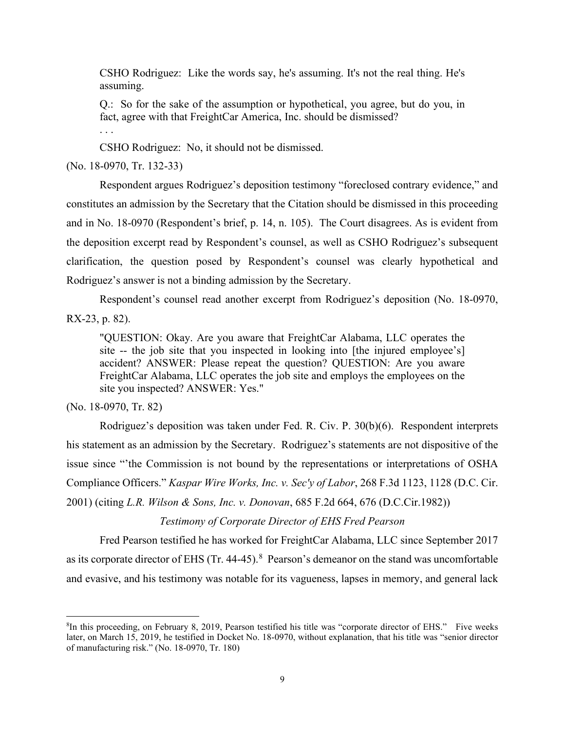CSHO Rodriguez: Like the words say, he's assuming. It's not the real thing. He's assuming.

Q.: So for the sake of the assumption or hypothetical, you agree, but do you, in fact, agree with that FreightCar America, Inc. should be dismissed? . . .

CSHO Rodriguez: No, it should not be dismissed.

(No. 18-0970, Tr. 132-33)

 Respondent argues Rodriguez's deposition testimony "foreclosed contrary evidence," and constitutes an admission by the Secretary that the Citation should be dismissed in this proceeding and in No. 18-0970 (Respondent's brief, p. 14, n. 105). The Court disagrees. As is evident from the deposition excerpt read by Respondent's counsel, as well as CSHO Rodriguez's subsequent clarification, the question posed by Respondent's counsel was clearly hypothetical and Rodriguez's answer is not a binding admission by the Secretary.

Respondent's counsel read another excerpt from Rodriguez's deposition (No. 18-0970,

RX-23, p. 82).

"QUESTION: Okay. Are you aware that FreightCar Alabama, LLC operates the site -- the job site that you inspected in looking into [the injured employee's] accident? ANSWER: Please repeat the question? QUESTION: Are you aware FreightCar Alabama, LLC operates the job site and employs the employees on the site you inspected? ANSWER: Yes."

(No. 18-0970, Tr. 82)

Rodriguez's deposition was taken under Fed. R. Civ. P. 30(b)(6). Respondent interprets his statement as an admission by the Secretary. Rodriguez's statements are not dispositive of the issue since "'the Commission is not bound by the representations or interpretations of OSHA Compliance Officers." *Kaspar Wire Works, Inc. v. Sec'y of Labor*, 268 F.3d 1123, 1128 (D.C. Cir. 2001) (citing *L.R. Wilson & Sons, Inc. v. Donovan*, 685 F.2d 664, 676 (D.C.Cir.1982))

*Testimony of Corporate Director of EHS Fred Pearson*

Fred Pearson testified he has worked for FreightCar Alabama, LLC since September 2017 as its corporate director of EHS (Tr. 44-45). $8$  Pearson's demeanor on the stand was uncomfortable and evasive, and his testimony was notable for its vagueness, lapses in memory, and general lack

<span id="page-8-0"></span><sup>8</sup> In this proceeding, on February 8, 2019, Pearson testified his title was "corporate director of EHS." Five weeks later, on March 15, 2019, he testified in Docket No. 18-0970, without explanation, that his title was "senior director of manufacturing risk." (No. 18-0970, Tr. 180)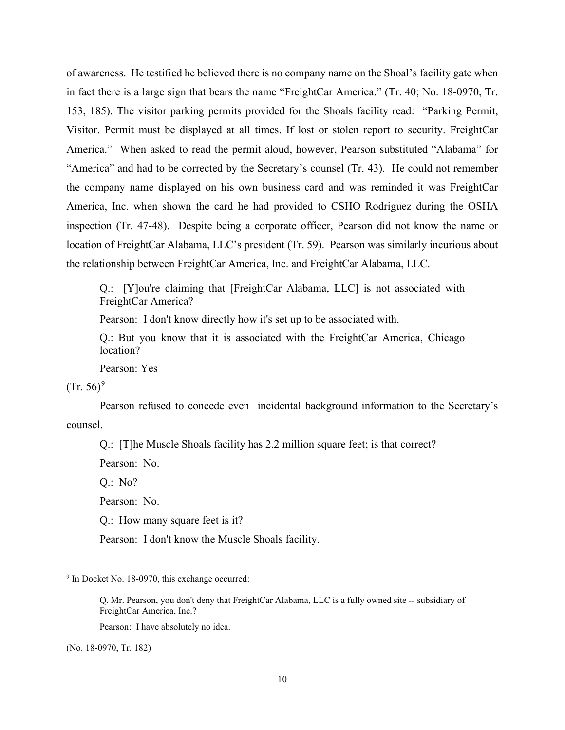of awareness. He testified he believed there is no company name on the Shoal's facility gate when in fact there is a large sign that bears the name "FreightCar America." (Tr. 40; No. 18-0970, Tr. 153, 185). The visitor parking permits provided for the Shoals facility read: "Parking Permit, Visitor. Permit must be displayed at all times. If lost or stolen report to security. FreightCar America." When asked to read the permit aloud, however, Pearson substituted "Alabama" for "America" and had to be corrected by the Secretary's counsel (Tr. 43). He could not remember the company name displayed on his own business card and was reminded it was FreightCar America, Inc. when shown the card he had provided to CSHO Rodriguez during the OSHA inspection (Tr. 47-48). Despite being a corporate officer, Pearson did not know the name or location of FreightCar Alabama, LLC's president (Tr. 59). Pearson was similarly incurious about the relationship between FreightCar America, Inc. and FreightCar Alabama, LLC.

Q.: [Y]ou're claiming that [FreightCar Alabama, LLC] is not associated with FreightCar America?

Pearson: I don't know directly how it's set up to be associated with.

Q.: But you know that it is associated with the FreightCar America, Chicago location?

Pearson: Yes

 $(Tr. 56)^9$  $(Tr. 56)^9$ 

Pearson refused to concede even incidental background information to the Secretary's counsel.

Q.: [T]he Muscle Shoals facility has 2.2 million square feet; is that correct?

Pearson: No.

Q.: No?

Pearson: No.

Q.: How many square feet is it?

Pearson: I don't know the Muscle Shoals facility.

Pearson: I have absolutely no idea.

(No. 18-0970, Tr. 182)

<span id="page-9-0"></span><sup>&</sup>lt;sup>9</sup> In Docket No. 18-0970, this exchange occurred:

Q. Mr. Pearson, you don't deny that FreightCar Alabama, LLC is a fully owned site -- subsidiary of FreightCar America, Inc.?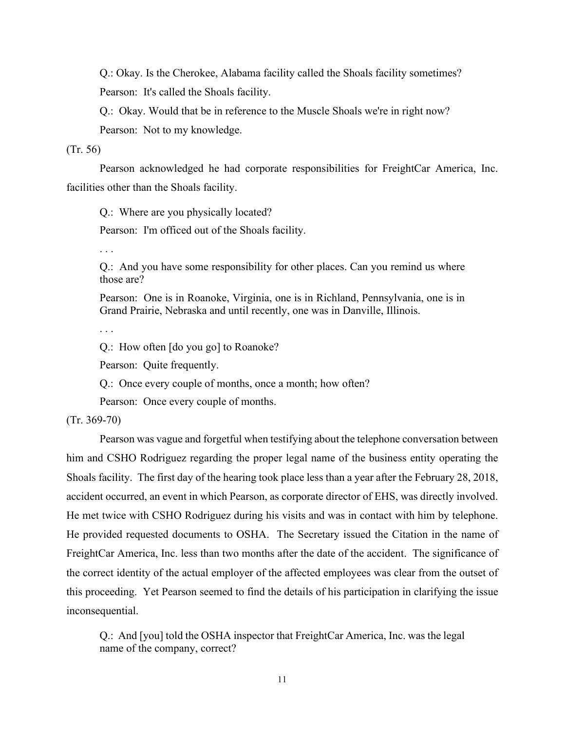Q.: Okay. Is the Cherokee, Alabama facility called the Shoals facility sometimes? Pearson: It's called the Shoals facility.

Q.: Okay. Would that be in reference to the Muscle Shoals we're in right now? Pearson: Not to my knowledge.

(Tr. 56)

Pearson acknowledged he had corporate responsibilities for FreightCar America, Inc. facilities other than the Shoals facility.

Q.: Where are you physically located?

Pearson: I'm officed out of the Shoals facility.

. . .

Q.: And you have some responsibility for other places. Can you remind us where those are?

Pearson: One is in Roanoke, Virginia, one is in Richland, Pennsylvania, one is in Grand Prairie, Nebraska and until recently, one was in Danville, Illinois.

. . .

Q.: How often [do you go] to Roanoke?

Pearson: Quite frequently.

Q.: Once every couple of months, once a month; how often?

Pearson: Once every couple of months.

(Tr. 369-70)

Pearson was vague and forgetful when testifying about the telephone conversation between him and CSHO Rodriguez regarding the proper legal name of the business entity operating the Shoals facility. The first day of the hearing took place less than a year after the February 28, 2018, accident occurred, an event in which Pearson, as corporate director of EHS, was directly involved. He met twice with CSHO Rodriguez during his visits and was in contact with him by telephone. He provided requested documents to OSHA. The Secretary issued the Citation in the name of FreightCar America, Inc. less than two months after the date of the accident. The significance of the correct identity of the actual employer of the affected employees was clear from the outset of this proceeding. Yet Pearson seemed to find the details of his participation in clarifying the issue inconsequential.

Q.: And [you] told the OSHA inspector that FreightCar America, Inc. was the legal name of the company, correct?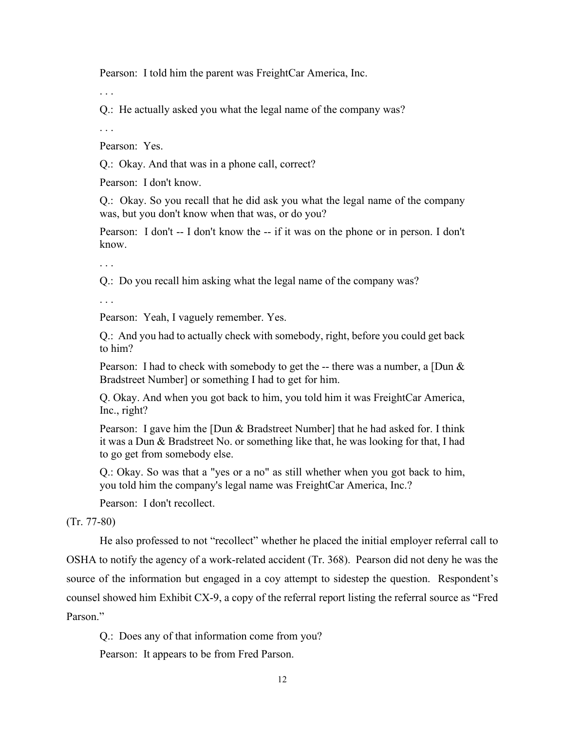Pearson: I told him the parent was FreightCar America, Inc.

. . .

Q.: He actually asked you what the legal name of the company was?

. . .

Pearson: Yes.

Q.: Okay. And that was in a phone call, correct?

Pearson: I don't know.

Q.: Okay. So you recall that he did ask you what the legal name of the company was, but you don't know when that was, or do you?

Pearson: I don't -- I don't know the -- if it was on the phone or in person. I don't know.

. . .

Q.: Do you recall him asking what the legal name of the company was?

. . .

Pearson: Yeah, I vaguely remember. Yes.

Q.: And you had to actually check with somebody, right, before you could get back to him?

Pearson: I had to check with somebody to get the -- there was a number, a  $\Box$ Dun & Bradstreet Number] or something I had to get for him.

Q. Okay. And when you got back to him, you told him it was FreightCar America, Inc., right?

Pearson: I gave him the [Dun & Bradstreet Number] that he had asked for. I think it was a Dun & Bradstreet No. or something like that, he was looking for that, I had to go get from somebody else.

Q.: Okay. So was that a "yes or a no" as still whether when you got back to him, you told him the company's legal name was FreightCar America, Inc.?

Pearson: I don't recollect.

(Tr. 77-80)

He also professed to not "recollect" whether he placed the initial employer referral call to OSHA to notify the agency of a work-related accident (Tr. 368). Pearson did not deny he was the source of the information but engaged in a coy attempt to sidestep the question. Respondent's counsel showed him Exhibit CX-9, a copy of the referral report listing the referral source as "Fred Parson."

Q.: Does any of that information come from you?

Pearson: It appears to be from Fred Parson.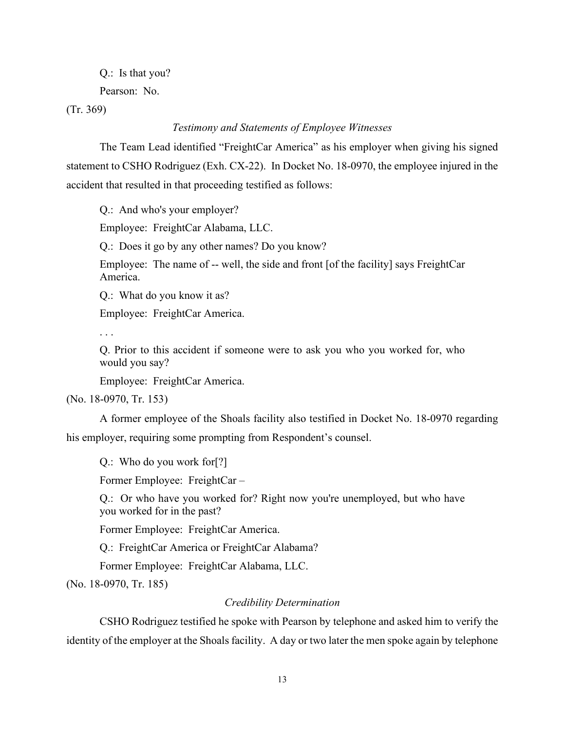Q.: Is that you?

Pearson: No.

(Tr. 369)

## *Testimony and Statements of Employee Witnesses*

The Team Lead identified "FreightCar America" as his employer when giving his signed statement to CSHO Rodriguez (Exh. CX-22). In Docket No. 18-0970, the employee injured in the accident that resulted in that proceeding testified as follows:

Q.: And who's your employer?

Employee: FreightCar Alabama, LLC.

Q.: Does it go by any other names? Do you know?

Employee: The name of -- well, the side and front [of the facility] says FreightCar America.

Q.: What do you know it as?

Employee: FreightCar America.

. . .

Q. Prior to this accident if someone were to ask you who you worked for, who would you say?

Employee: FreightCar America.

(No. 18-0970, Tr. 153)

A former employee of the Shoals facility also testified in Docket No. 18-0970 regarding his employer, requiring some prompting from Respondent's counsel.

Q.: Who do you work for[?]

Former Employee: FreightCar –

Q.: Or who have you worked for? Right now you're unemployed, but who have you worked for in the past?

Former Employee: FreightCar America.

Q.: FreightCar America or FreightCar Alabama?

Former Employee: FreightCar Alabama, LLC.

(No. 18-0970, Tr. 185)

# *Credibility Determination*

CSHO Rodriguez testified he spoke with Pearson by telephone and asked him to verify the identity of the employer at the Shoals facility. A day or two later the men spoke again by telephone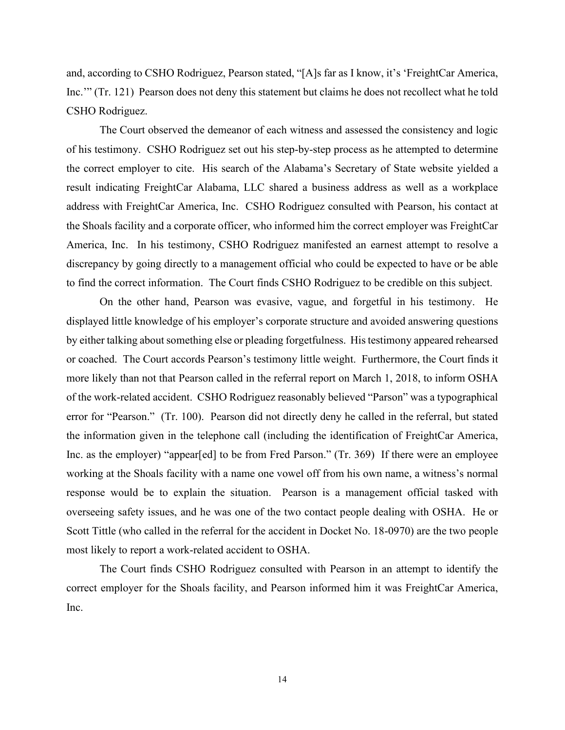and, according to CSHO Rodriguez, Pearson stated, "[A]s far as I know, it's 'FreightCar America, Inc.'" (Tr. 121) Pearson does not deny this statement but claims he does not recollect what he told CSHO Rodriguez.

The Court observed the demeanor of each witness and assessed the consistency and logic of his testimony. CSHO Rodriguez set out his step-by-step process as he attempted to determine the correct employer to cite. His search of the Alabama's Secretary of State website yielded a result indicating FreightCar Alabama, LLC shared a business address as well as a workplace address with FreightCar America, Inc. CSHO Rodriguez consulted with Pearson, his contact at the Shoals facility and a corporate officer, who informed him the correct employer was FreightCar America, Inc. In his testimony, CSHO Rodriguez manifested an earnest attempt to resolve a discrepancy by going directly to a management official who could be expected to have or be able to find the correct information. The Court finds CSHO Rodriguez to be credible on this subject.

On the other hand, Pearson was evasive, vague, and forgetful in his testimony. He displayed little knowledge of his employer's corporate structure and avoided answering questions by either talking about something else or pleading forgetfulness. His testimony appeared rehearsed or coached. The Court accords Pearson's testimony little weight. Furthermore, the Court finds it more likely than not that Pearson called in the referral report on March 1, 2018, to inform OSHA of the work-related accident. CSHO Rodriguez reasonably believed "Parson" was a typographical error for "Pearson." (Tr. 100). Pearson did not directly deny he called in the referral, but stated the information given in the telephone call (including the identification of FreightCar America, Inc. as the employer) "appear[ed] to be from Fred Parson." (Tr. 369) If there were an employee working at the Shoals facility with a name one vowel off from his own name, a witness's normal response would be to explain the situation. Pearson is a management official tasked with overseeing safety issues, and he was one of the two contact people dealing with OSHA. He or Scott Tittle (who called in the referral for the accident in Docket No. 18-0970) are the two people most likely to report a work-related accident to OSHA.

The Court finds CSHO Rodriguez consulted with Pearson in an attempt to identify the correct employer for the Shoals facility, and Pearson informed him it was FreightCar America, Inc.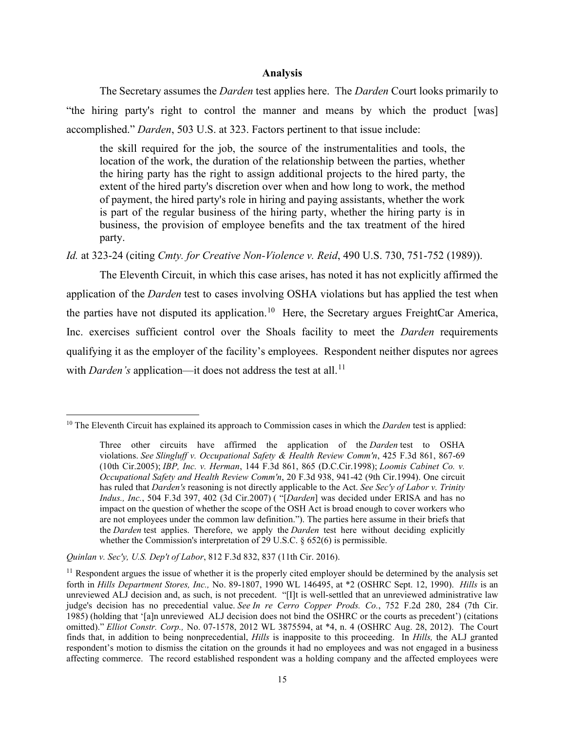### **Analysis**

The Secretary assumes the *Darden* test applies here. The *Darden* Court looks primarily to "the hiring party's right to control the manner and means by which the product [was] accomplished." *Darden*[, 503 U.S. at 323.](https://1.next.westlaw.com/Link/Document/FullText?findType=Y&serNum=1992060791&pubNum=0000780&originatingDoc=Ia29b9b17a8be11e9b8aeecdeb6661cf4&refType=RP&fi=co_pp_sp_780_323&originationContext=document&transitionType=DocumentItem&contextData=(sc.Search)#co_pp_sp_780_323) Factors pertinent to that issue include:

the skill required for the job, the source of the instrumentalities and tools, the location of the work, the duration of the relationship between the parties, whether the hiring party has the right to assign additional projects to the hired party, the extent of the hired party's discretion over when and how long to work, the method of payment, the hired party's role in hiring and paying assistants, whether the work is part of the regular business of the hiring party, whether the hiring party is in business, the provision of employee benefits and the tax treatment of the hired party.

*Id.* [at 323-24](https://1.next.westlaw.com/Link/Document/FullText?findType=Y&serNum=1992060791&pubNum=0000780&originatingDoc=Ia29b9b17a8be11e9b8aeecdeb6661cf4&refType=RP&fi=co_pp_sp_780_323&originationContext=document&transitionType=DocumentItem&contextData=(sc.Search)#co_pp_sp_780_323) (citing *[Cmty. for Creative Non-Violence v. Reid](https://1.next.westlaw.com/Link/Document/FullText?findType=Y&serNum=1989082504&pubNum=0000780&originatingDoc=Ia29b9b17a8be11e9b8aeecdeb6661cf4&refType=RP&fi=co_pp_sp_780_751&originationContext=document&transitionType=DocumentItem&contextData=(sc.Search)#co_pp_sp_780_751)*, 490 U.S. 730, 751-752 (1989)).

 The Eleventh Circuit, in which this case arises, has noted it has not explicitly affirmed the application of the *Darden* test to cases involving OSHA violations but has applied the test when the parties have not disputed its application.<sup>10</sup> Here, the Secretary argues FreightCar America, Inc. exercises sufficient control over the Shoals facility to meet the *Darden* requirements qualifying it as the employer of the facility's employees. Respondent neither disputes nor agrees with *Darden's* application—it does not address the test at all.<sup>[11](#page-14-1)</sup>

<span id="page-14-0"></span><sup>&</sup>lt;sup>10</sup> The Eleventh Circuit has explained its approach to Commission cases in which the *Darden* test is applied:

Three other circuits have affirmed the application of the *Darden* test to OSHA violations. *See [Slingluff v. Occupational Safety & Health Review Comm'n](https://1.next.westlaw.com/Link/Document/FullText?findType=Y&serNum=2007365532&pubNum=0000506&originatingDoc=Ia29b9b17a8be11e9b8aeecdeb6661cf4&refType=RP&fi=co_pp_sp_506_867&originationContext=document&transitionType=DocumentItem&contextData=(sc.Search)#co_pp_sp_506_867)*, 425 F.3d 861, 867-69 [\(10th Cir.2005\);](https://1.next.westlaw.com/Link/Document/FullText?findType=Y&serNum=2007365532&pubNum=0000506&originatingDoc=Ia29b9b17a8be11e9b8aeecdeb6661cf4&refType=RP&fi=co_pp_sp_506_867&originationContext=document&transitionType=DocumentItem&contextData=(sc.Search)#co_pp_sp_506_867) *IBP, Inc. v. Herman*[, 144 F.3d 861, 865 \(D.C.Cir.1998\);](https://1.next.westlaw.com/Link/Document/FullText?findType=Y&serNum=1998112456&pubNum=0000506&originatingDoc=Ia29b9b17a8be11e9b8aeecdeb6661cf4&refType=RP&fi=co_pp_sp_506_865&originationContext=document&transitionType=DocumentItem&contextData=(sc.Search)#co_pp_sp_506_865) *[Loomis Cabinet Co. v.](https://1.next.westlaw.com/Link/Document/FullText?findType=Y&serNum=1994069855&pubNum=0000506&originatingDoc=Ia29b9b17a8be11e9b8aeecdeb6661cf4&refType=RP&fi=co_pp_sp_506_941&originationContext=document&transitionType=DocumentItem&contextData=(sc.Search)#co_pp_sp_506_941)  [Occupational Safety and Health Review Comm'n](https://1.next.westlaw.com/Link/Document/FullText?findType=Y&serNum=1994069855&pubNum=0000506&originatingDoc=Ia29b9b17a8be11e9b8aeecdeb6661cf4&refType=RP&fi=co_pp_sp_506_941&originationContext=document&transitionType=DocumentItem&contextData=(sc.Search)#co_pp_sp_506_941)*, 20 F.3d 938, 941-42 (9th Cir.1994). One circuit has ruled that *Darden's* reasoning is not directly applicable to the Act. *See [Sec'y of Labor v. Trinity](https://1.next.westlaw.com/Link/Document/FullText?findType=Y&serNum=2013096350&pubNum=0000506&originatingDoc=Ia29b9b17a8be11e9b8aeecdeb6661cf4&refType=RP&fi=co_pp_sp_506_402&originationContext=document&transitionType=DocumentItem&contextData=(sc.Search)#co_pp_sp_506_402)  Indus., Inc.*[, 504 F.3d 397, 402 \(3d Cir.2007\)](https://1.next.westlaw.com/Link/Document/FullText?findType=Y&serNum=2013096350&pubNum=0000506&originatingDoc=Ia29b9b17a8be11e9b8aeecdeb6661cf4&refType=RP&fi=co_pp_sp_506_402&originationContext=document&transitionType=DocumentItem&contextData=(sc.Search)#co_pp_sp_506_402) ( "[*Darden*] was decided under ERISA and has no impact on the question of whether the scope of the OSH Act is broad enough to cover workers who are not employees under the common law definition."). The parties here assume in their briefs that the *Darden* test applies. Therefore, we apply the *Darden* test here without deciding explicitly whether the Commission's interpretation of [29 U.S.C. § 652\(6\)](https://1.next.westlaw.com/Link/Document/FullText?findType=L&pubNum=1000546&cite=29USCAS652&originatingDoc=Ia29b9b17a8be11e9b8aeecdeb6661cf4&refType=RB&originationContext=document&transitionType=DocumentItem&contextData=(sc.Search)#co_pp_1e9a0000fd6a3) is permissible.

*[Quinlan v. Sec'y, U.S. Dep't of Labor](https://1.next.westlaw.com/Link/Document/FullText?findType=Y&serNum=2037967494&pubNum=0000506&originatingDoc=Ia29b9b17a8be11e9b8aeecdeb6661cf4&refType=RP&fi=co_pp_sp_506_837&originationContext=document&transitionType=DocumentItem&contextData=(sc.Search)#co_pp_sp_506_837)*, 812 F.3d 832, 837 (11th Cir. 2016).

<span id="page-14-1"></span> $11$  Respondent argues the issue of whether it is the properly cited employer should be determined by the analysis set forth in *Hills Department Stores, Inc.,* No. 89-1807, 1990 WL 146495, at \*2 (OSHRC Sept. 12, 1990). *Hills* is an unreviewed ALJ decision and, as such, is not precedent. "[I]t is well-settled that an unreviewed administrative law judge's decision has no precedential value. *See [In re Cerro Copper Prods. Co.](https://1.next.westlaw.com/Link/Document/FullText?findType=Y&serNum=1985102595&pubNum=0000350&originatingDoc=Iab4da73426a211e8ab20b3103407982a&refType=RP&fi=co_pp_sp_350_284&originationContext=document&transitionType=DocumentItem&contextData=(sc.Search)#co_pp_sp_350_284)*, 752 F.2d 280, 284 (7th Cir. [1985\)](https://1.next.westlaw.com/Link/Document/FullText?findType=Y&serNum=1985102595&pubNum=0000350&originatingDoc=Iab4da73426a211e8ab20b3103407982a&refType=RP&fi=co_pp_sp_350_284&originationContext=document&transitionType=DocumentItem&contextData=(sc.Search)#co_pp_sp_350_284) (holding that '[a]n unreviewed ALJ decision does not bind the OSHRC or the courts as precedent') (citations omitted)." *Elliot Constr. Corp.,* No. 07-1578, 2012 WL 3875594, at \*4, n. 4 (OSHRC Aug. 28, 2012). The Court finds that, in addition to being nonprecedential, *Hills* is inapposite to this proceeding. In *Hills,* the ALJ granted respondent's motion to dismiss the citation on the grounds it had no employees and was not engaged in a business affecting commerce. The record established respondent was a holding company and the affected employees were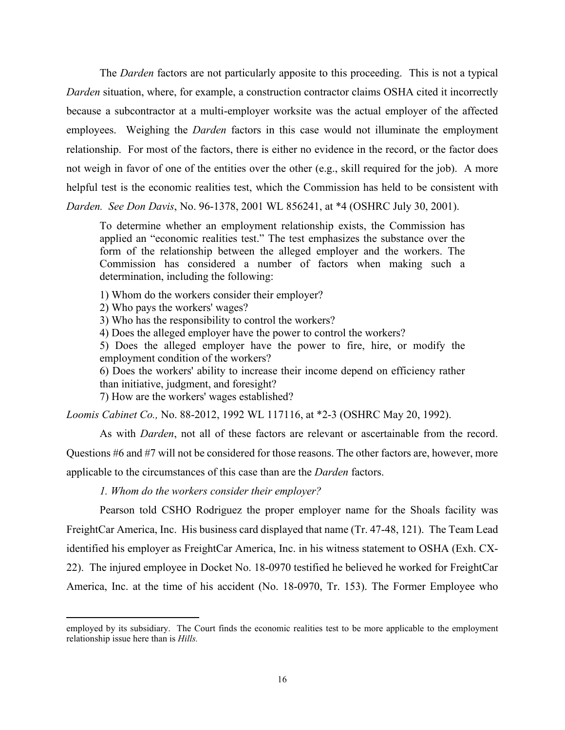The *Darden* factors are not particularly apposite to this proceeding. This is not a typical *Darden* situation, where, for example, a construction contractor claims OSHA cited it incorrectly because a subcontractor at a multi-employer worksite was the actual employer of the affected employees. Weighing the *Darden* factors in this case would not illuminate the employment relationship. For most of the factors, there is either no evidence in the record, or the factor does not weigh in favor of one of the entities over the other (e.g., skill required for the job). A more helpful test is the economic realities test, which the Commission has held to be consistent with *Darden. See Don Davis*, No. 96-1378, 2001 WL 856241, at \*4 (OSHRC July 30, 2001).

To determine whether an employment relationship exists, the Commission has applied an "economic realities test." The test emphasizes the substance over the form of the relationship between the alleged employer and the workers. The Commission has considered a number of factors when making such a determination, including the following:

1) Whom do the workers consider their employer?

2) Who pays the workers' wages?

3) Who has the responsibility to control the workers?

4) Does the alleged employer have the power to control the workers?

5) Does the alleged employer have the power to fire, hire, or modify the employment condition of the workers?

6) Does the workers' ability to increase their income depend on efficiency rather than initiative, judgment, and foresight?

7) How are the workers' wages established?

*Loomis Cabinet Co.,* No. 88-2012, 1992 WL 117116, at \*2-3 (OSHRC May 20, 1992).

As with *Darden*, not all of these factors are relevant or ascertainable from the record. Questions #6 and #7 will not be considered for those reasons. The other factors are, however, more applicable to the circumstances of this case than are the *Darden* factors.

*1. Whom do the workers consider their employer?* 

Pearson told CSHO Rodriguez the proper employer name for the Shoals facility was FreightCar America, Inc. His business card displayed that name (Tr. 47-48, 121). The Team Lead identified his employer as FreightCar America, Inc. in his witness statement to OSHA (Exh. CX-22). The injured employee in Docket No. 18-0970 testified he believed he worked for FreightCar America, Inc. at the time of his accident (No. 18-0970, Tr. 153). The Former Employee who

employed by its subsidiary. The Court finds the economic realities test to be more applicable to the employment relationship issue here than is *Hills.*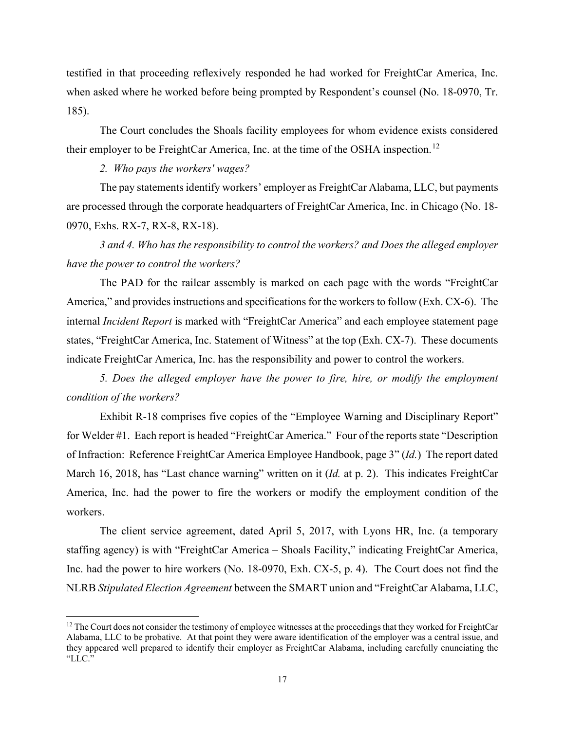testified in that proceeding reflexively responded he had worked for FreightCar America, Inc. when asked where he worked before being prompted by Respondent's counsel (No. 18-0970, Tr. 185).

The Court concludes the Shoals facility employees for whom evidence exists considered their employer to be FreightCar America, Inc. at the time of the OSHA inspection.<sup>12</sup>

# *2. Who pays the workers' wages?*

The pay statements identify workers' employer as FreightCar Alabama, LLC, but payments are processed through the corporate headquarters of FreightCar America, Inc. in Chicago (No. 18- 0970, Exhs. RX-7, RX-8, RX-18).

 *3 and 4. Who has the responsibility to control the workers? and Does the alleged employer have the power to control the workers?* 

The PAD for the railcar assembly is marked on each page with the words "FreightCar America," and provides instructions and specifications for the workers to follow (Exh. CX-6). The internal *Incident Report* is marked with "FreightCar America" and each employee statement page states, "FreightCar America, Inc. Statement of Witness" at the top (Exh. CX-7). These documents indicate FreightCar America, Inc. has the responsibility and power to control the workers.

 *5. Does the alleged employer have the power to fire, hire, or modify the employment condition of the workers?* 

Exhibit R-18 comprises five copies of the "Employee Warning and Disciplinary Report" for Welder #1. Each report is headed "FreightCar America." Four of the reports state "Description of Infraction: Reference FreightCar America Employee Handbook, page 3" (*Id.*) The report dated March 16, 2018, has "Last chance warning" written on it (*Id.* at p. 2). This indicates FreightCar America, Inc. had the power to fire the workers or modify the employment condition of the workers.

The client service agreement, dated April 5, 2017, with Lyons HR, Inc. (a temporary staffing agency) is with "FreightCar America – Shoals Facility," indicating FreightCar America, Inc. had the power to hire workers (No. 18-0970, Exh. CX-5, p. 4). The Court does not find the NLRB *Stipulated Election Agreement* between the SMART union and "FreightCar Alabama, LLC,

<span id="page-16-0"></span> $12$  The Court does not consider the testimony of employee witnesses at the proceedings that they worked for FreightCar Alabama, LLC to be probative. At that point they were aware identification of the employer was a central issue, and they appeared well prepared to identify their employer as FreightCar Alabama, including carefully enunciating the "LLC."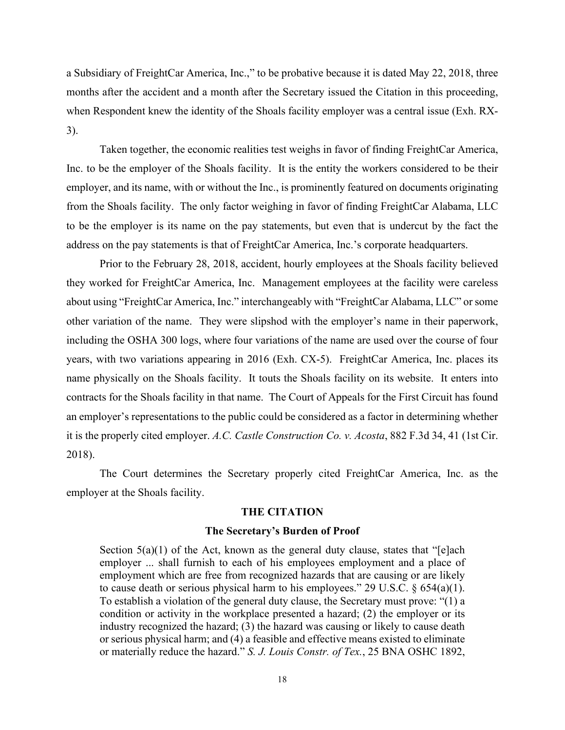a Subsidiary of FreightCar America, Inc.," to be probative because it is dated May 22, 2018, three months after the accident and a month after the Secretary issued the Citation in this proceeding, when Respondent knew the identity of the Shoals facility employer was a central issue (Exh. RX-3).

Taken together, the economic realities test weighs in favor of finding FreightCar America, Inc. to be the employer of the Shoals facility. It is the entity the workers considered to be their employer, and its name, with or without the Inc., is prominently featured on documents originating from the Shoals facility. The only factor weighing in favor of finding FreightCar Alabama, LLC to be the employer is its name on the pay statements, but even that is undercut by the fact the address on the pay statements is that of FreightCar America, Inc.'s corporate headquarters.

Prior to the February 28, 2018, accident, hourly employees at the Shoals facility believed they worked for FreightCar America, Inc. Management employees at the facility were careless about using "FreightCar America, Inc." interchangeably with "FreightCar Alabama, LLC" or some other variation of the name. They were slipshod with the employer's name in their paperwork, including the OSHA 300 logs, where four variations of the name are used over the course of four years, with two variations appearing in 2016 (Exh. CX-5). FreightCar America, Inc. places its name physically on the Shoals facility. It touts the Shoals facility on its website. It enters into contracts for the Shoals facility in that name. The Court of Appeals for the First Circuit has found an employer's representations to the public could be considered as a factor in determining whether it is the properly cited employer. *A.C. Castle Construction Co. v. Acosta*, 882 F.3d 34, 41 (1st Cir. 2018).

The Court determines the Secretary properly cited FreightCar America, Inc. as the employer at the Shoals facility.

#### **THE CITATION**

### **The Secretary's Burden of Proof**

Section  $5(a)(1)$  of the Act, known as the general duty clause, states that "[e]ach employer ... shall furnish to each of his employees employment and a place of employment which are free from recognized hazards that are causing or are likely to cause death or serious physical harm to his employees." 29 U.S.C.  $\S$  654(a)(1). To establish a violation of the general duty clause, the Secretary must prove: "(1) a condition or activity in the workplace presented a hazard; (2) the employer or its industry recognized the hazard; (3) the hazard was causing or likely to cause death or serious physical harm; and (4) a feasible and effective means existed to eliminate or materially reduce the hazard." *S. J. Louis Constr. of Tex.*, 25 BNA OSHC 1892,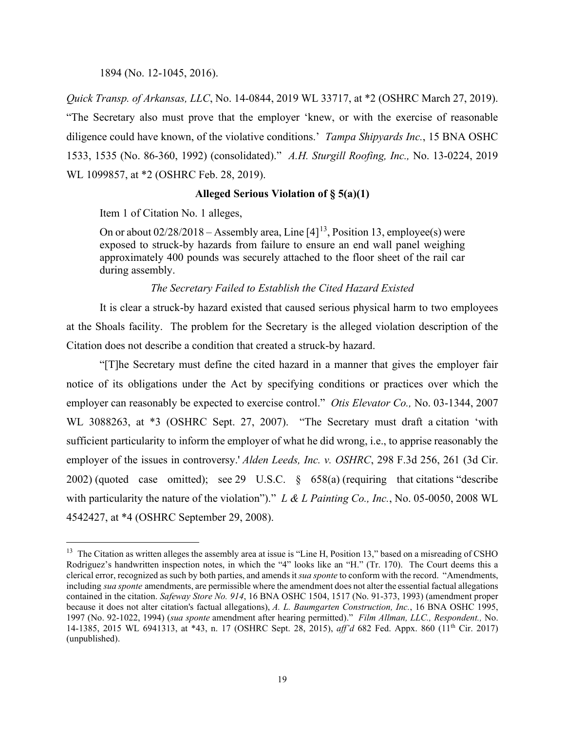#### 1894 (No. 12-1045, 2016).

*Quick Transp. of Arkansas, LLC*, No. 14-0844, 2019 WL 33717, at \*2 (OSHRC March 27, 2019). "The Secretary also must prove that the employer 'knew, or with the exercise of reasonable diligence could have known, of the violative conditions.' *Tampa Shipyards Inc.*, 15 BNA OSHC 1533, 1535 (No. 86-360, 1992) (consolidated)." *A.H. Sturgill Roofing, Inc.,* No. 13-0224, 2019 WL 1099857, at \*2 (OSHRC Feb. 28, 2019).

### **Alleged Serious Violation of § 5(a)(1)**

Item 1 of Citation No. 1 alleges,

On or about  $02/28/2018$  – Assembly area, Line  $[4]^{13}$ , Position [13,](#page-18-0) employee(s) were exposed to struck-by hazards from failure to ensure an end wall panel weighing approximately 400 pounds was securely attached to the floor sheet of the rail car during assembly.

### *The Secretary Failed to Establish the Cited Hazard Existed*

It is clear a struck-by hazard existed that caused serious physical harm to two employees at the Shoals facility. The problem for the Secretary is the alleged violation description of the Citation does not describe a condition that created a struck-by hazard.

"[T]he Secretary must define the cited hazard in a manner that gives the employer fair notice of its obligations under the Act by specifying conditions or practices over which the employer can reasonably be expected to exercise control." *Otis Elevator Co.,* No. 03-1344, 2007 WL 3088263, at \*3 (OSHRC Sept. 27, 2007). "The Secretary must draft a citation 'with sufficient particularity to inform the employer of what he did wrong, i.e., to apprise reasonably the employer of the issues in controversy.' *Alden Leeds, Inc. v. OSHRC*[, 298 F.3d 256, 261 \(3d Cir.](https://1.next.westlaw.com/Link/Document/FullText?findType=Y&serNum=2002478509&pubNum=0000506&originatingDoc=Ie06fe2e8c90111e9a76eb9e71287f4ea&refType=RP&fi=co_pp_sp_506_261&originationContext=document&transitionType=DocumentItem&contextData=(sc.Search)#co_pp_sp_506_261)  [2002\)](https://1.next.westlaw.com/Link/Document/FullText?findType=Y&serNum=2002478509&pubNum=0000506&originatingDoc=Ie06fe2e8c90111e9a76eb9e71287f4ea&refType=RP&fi=co_pp_sp_506_261&originationContext=document&transitionType=DocumentItem&contextData=(sc.Search)#co_pp_sp_506_261) (quoted case omitted); see 29 U.S.C.  $\frac{1}{5}$  658(a) (requiring that citations "describe with particularity the nature of the violation")." *L & L Painting Co., Inc.*[, No. 05-0050, 2008 WL](https://1.next.westlaw.com/Link/Document/FullText?findType=Y&serNum=2017253772&pubNum=0000999&originatingDoc=Ie06fe2e8c90111e9a76eb9e71287f4ea&refType=RP&originationContext=document&transitionType=DocumentItem&contextData=(sc.Search))  [4542427, at \\*4 \(OSHRC September 29, 2008\).](https://1.next.westlaw.com/Link/Document/FullText?findType=Y&serNum=2017253772&pubNum=0000999&originatingDoc=Ie06fe2e8c90111e9a76eb9e71287f4ea&refType=RP&originationContext=document&transitionType=DocumentItem&contextData=(sc.Search))

<span id="page-18-0"></span><sup>&</sup>lt;sup>13</sup> The Citation as written alleges the assembly area at issue is "Line H, Position 13," based on a misreading of CSHO Rodriguez's handwritten inspection notes, in which the "4" looks like an "H." (Tr. 170). The Court deems this a clerical error, recognized as such by both parties, and amends it *sua sponte* to conform with the record. "Amendments, including *sua sponte* amendments, are permissible where the amendment does not alter the essential factual allegations contained in the citation. *Safeway Store No. 914*, 16 BNA OSHC 1504, 1517 (No. 91-373, 1993) (amendment proper because it does not alter citation's factual allegations), *A. L. Baumgarten Construction, Inc.*, 16 BNA OSHC 1995, 1997 (No. 92-1022, 1994) (*sua sponte* amendment after hearing permitted)." *Film Allman, LLC., Respondent.,* No. 14-1385, 2015 WL 6941313, at \*43, n. 17 (OSHRC Sept. 28, 2015), *aff'd* 682 Fed. Appx. 860 (11th Cir. 2017) (unpublished).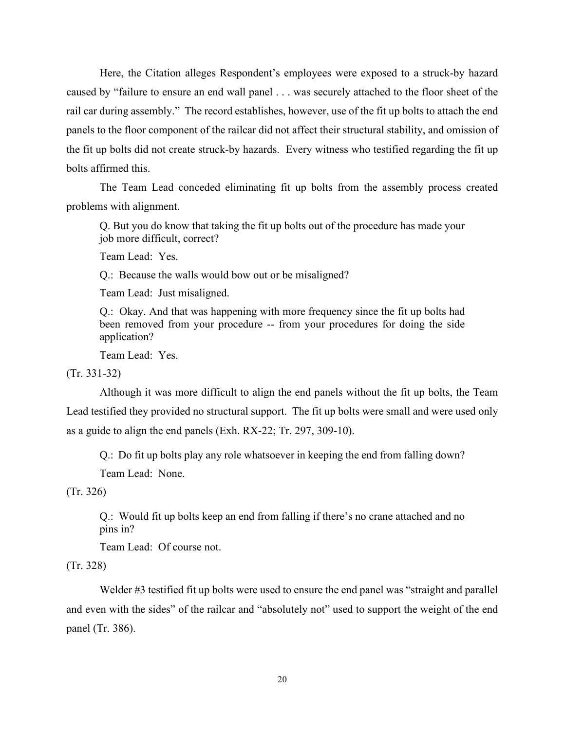Here, the Citation alleges Respondent's employees were exposed to a struck-by hazard caused by "failure to ensure an end wall panel . . . was securely attached to the floor sheet of the rail car during assembly." The record establishes, however, use of the fit up bolts to attach the end panels to the floor component of the railcar did not affect their structural stability, and omission of the fit up bolts did not create struck-by hazards. Every witness who testified regarding the fit up bolts affirmed this.

The Team Lead conceded eliminating fit up bolts from the assembly process created problems with alignment.

Q. But you do know that taking the fit up bolts out of the procedure has made your job more difficult, correct?

Team Lead: Yes.

Q.: Because the walls would bow out or be misaligned?

Team Lead: Just misaligned.

Q.: Okay. And that was happening with more frequency since the fit up bolts had been removed from your procedure -- from your procedures for doing the side application?

Team Lead: Yes.

(Tr. 331-32)

Although it was more difficult to align the end panels without the fit up bolts, the Team Lead testified they provided no structural support. The fit up bolts were small and were used only as a guide to align the end panels (Exh. RX-22; Tr. 297, 309-10).

Q.: Do fit up bolts play any role whatsoever in keeping the end from falling down?

Team Lead: None.

(Tr. 326)

Q.: Would fit up bolts keep an end from falling if there's no crane attached and no pins in?

Team Lead: Of course not.

(Tr. 328)

Welder #3 testified fit up bolts were used to ensure the end panel was "straight and parallel and even with the sides" of the railcar and "absolutely not" used to support the weight of the end panel (Tr. 386).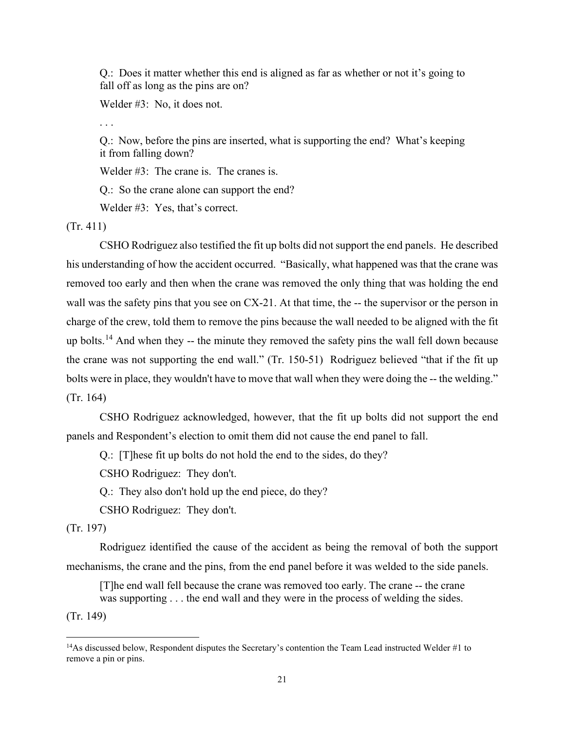Q.: Does it matter whether this end is aligned as far as whether or not it's going to fall off as long as the pins are on?

Welder #3: No, it does not.

. . .

Q.: Now, before the pins are inserted, what is supporting the end? What's keeping it from falling down?

Welder #3: The crane is. The cranes is.

Q.: So the crane alone can support the end?

Welder #3: Yes, that's correct.

(Tr. 411)

CSHO Rodriguez also testified the fit up bolts did not support the end panels. He described his understanding of how the accident occurred. "Basically, what happened was that the crane was removed too early and then when the crane was removed the only thing that was holding the end wall was the safety pins that you see on CX-21. At that time, the -- the supervisor or the person in charge of the crew, told them to remove the pins because the wall needed to be aligned with the fit up bolts.<sup>[14](#page-20-0)</sup> And when they -- the minute they removed the safety pins the wall fell down because the crane was not supporting the end wall." (Tr. 150-51) Rodriguez believed "that if the fit up bolts were in place, they wouldn't have to move that wall when they were doing the -- the welding." (Tr. 164)

CSHO Rodriguez acknowledged, however, that the fit up bolts did not support the end panels and Respondent's election to omit them did not cause the end panel to fall.

Q.: [T]hese fit up bolts do not hold the end to the sides, do they?

CSHO Rodriguez: They don't.

Q.: They also don't hold up the end piece, do they?

CSHO Rodriguez: They don't.

## (Tr. 197)

 Rodriguez identified the cause of the accident as being the removal of both the support mechanisms, the crane and the pins, from the end panel before it was welded to the side panels.

[T]he end wall fell because the crane was removed too early. The crane -- the crane was supporting . . . the end wall and they were in the process of welding the sides.

(Tr. 149)

<span id="page-20-0"></span><sup>&</sup>lt;sup>14</sup>As discussed below, Respondent disputes the Secretary's contention the Team Lead instructed Welder #1 to remove a pin or pins.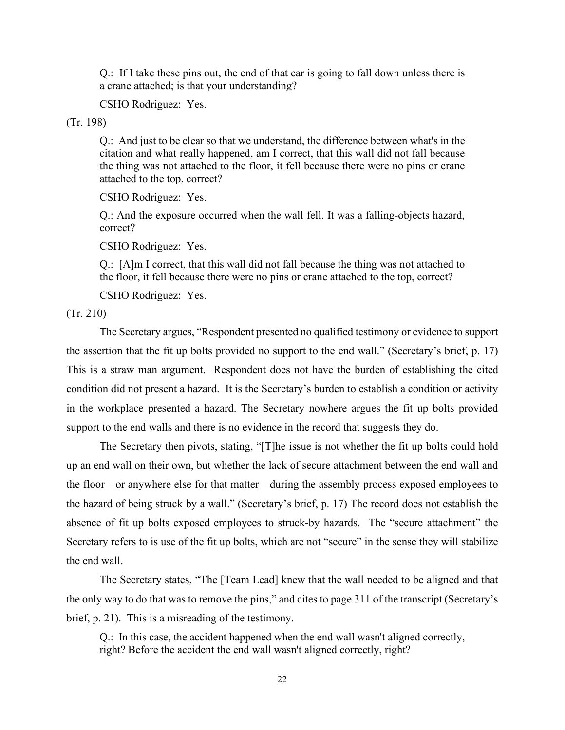Q.: If I take these pins out, the end of that car is going to fall down unless there is a crane attached; is that your understanding?

CSHO Rodriguez: Yes.

(Tr. 198)

Q.: And just to be clear so that we understand, the difference between what's in the citation and what really happened, am I correct, that this wall did not fall because the thing was not attached to the floor, it fell because there were no pins or crane attached to the top, correct?

CSHO Rodriguez: Yes.

Q.: And the exposure occurred when the wall fell. It was a falling-objects hazard, correct?

CSHO Rodriguez: Yes.

Q.: [A]m I correct, that this wall did not fall because the thing was not attached to the floor, it fell because there were no pins or crane attached to the top, correct?

CSHO Rodriguez: Yes.

(Tr. 210)

The Secretary argues, "Respondent presented no qualified testimony or evidence to support the assertion that the fit up bolts provided no support to the end wall." (Secretary's brief, p. 17) This is a straw man argument. Respondent does not have the burden of establishing the cited condition did not present a hazard. It is the Secretary's burden to establish a condition or activity in the workplace presented a hazard. The Secretary nowhere argues the fit up bolts provided support to the end walls and there is no evidence in the record that suggests they do.

The Secretary then pivots, stating, "[T]he issue is not whether the fit up bolts could hold up an end wall on their own, but whether the lack of secure attachment between the end wall and the floor—or anywhere else for that matter—during the assembly process exposed employees to the hazard of being struck by a wall." (Secretary's brief, p. 17) The record does not establish the absence of fit up bolts exposed employees to struck-by hazards. The "secure attachment" the Secretary refers to is use of the fit up bolts, which are not "secure" in the sense they will stabilize the end wall.

The Secretary states, "The [Team Lead] knew that the wall needed to be aligned and that the only way to do that was to remove the pins," and cites to page 311 of the transcript (Secretary's brief, p. 21). This is a misreading of the testimony.

Q.: In this case, the accident happened when the end wall wasn't aligned correctly, right? Before the accident the end wall wasn't aligned correctly, right?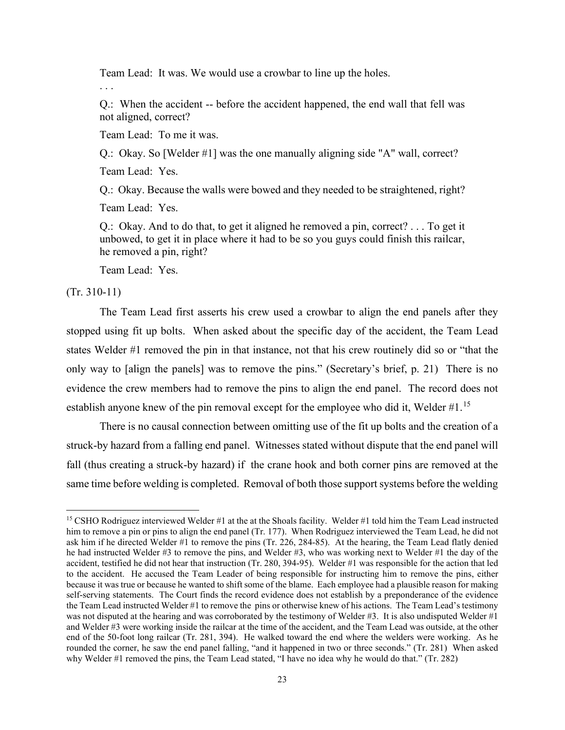Team Lead: It was. We would use a crowbar to line up the holes.

. . .

Q.: When the accident -- before the accident happened, the end wall that fell was not aligned, correct?

Team Lead: To me it was.

Q.: Okay. So [Welder #1] was the one manually aligning side "A" wall, correct?

Team Lead: Yes.

Q.: Okay. Because the walls were bowed and they needed to be straightened, right?

Team Lead: Yes.

Q.: Okay. And to do that, to get it aligned he removed a pin, correct? . . . To get it unbowed, to get it in place where it had to be so you guys could finish this railcar, he removed a pin, right?

Team Lead: Yes.

(Tr. 310-11)

The Team Lead first asserts his crew used a crowbar to align the end panels after they stopped using fit up bolts. When asked about the specific day of the accident, the Team Lead states Welder #1 removed the pin in that instance, not that his crew routinely did so or "that the only way to [align the panels] was to remove the pins." (Secretary's brief, p. 21) There is no evidence the crew members had to remove the pins to align the end panel. The record does not establish anyone knew of the pin removal except for the employee who did it, Welder #1.<sup>[15](#page-22-0)</sup>

There is no causal connection between omitting use of the fit up bolts and the creation of a struck-by hazard from a falling end panel. Witnesses stated without dispute that the end panel will fall (thus creating a struck-by hazard) if the crane hook and both corner pins are removed at the same time before welding is completed. Removal of both those support systems before the welding

<span id="page-22-0"></span><sup>&</sup>lt;sup>15</sup> CSHO Rodriguez interviewed Welder #1 at the at the Shoals facility. Welder #1 told him the Team Lead instructed him to remove a pin or pins to align the end panel (Tr. 177). When Rodriguez interviewed the Team Lead, he did not ask him if he directed Welder #1 to remove the pins (Tr. 226, 284-85). At the hearing, the Team Lead flatly denied he had instructed Welder #3 to remove the pins, and Welder #3, who was working next to Welder #1 the day of the accident, testified he did not hear that instruction (Tr. 280, 394-95). Welder #1 was responsible for the action that led to the accident. He accused the Team Leader of being responsible for instructing him to remove the pins, either because it was true or because he wanted to shift some of the blame. Each employee had a plausible reason for making self-serving statements. The Court finds the record evidence does not establish by a preponderance of the evidence the Team Lead instructed Welder #1 to remove the pins or otherwise knew of his actions. The Team Lead's testimony was not disputed at the hearing and was corroborated by the testimony of Welder #3. It is also undisputed Welder #1 and Welder #3 were working inside the railcar at the time of the accident, and the Team Lead was outside, at the other end of the 50-foot long railcar (Tr. 281, 394). He walked toward the end where the welders were working. As he rounded the corner, he saw the end panel falling, "and it happened in two or three seconds." (Tr. 281) When asked why Welder #1 removed the pins, the Team Lead stated, "I have no idea why he would do that." (Tr. 282)